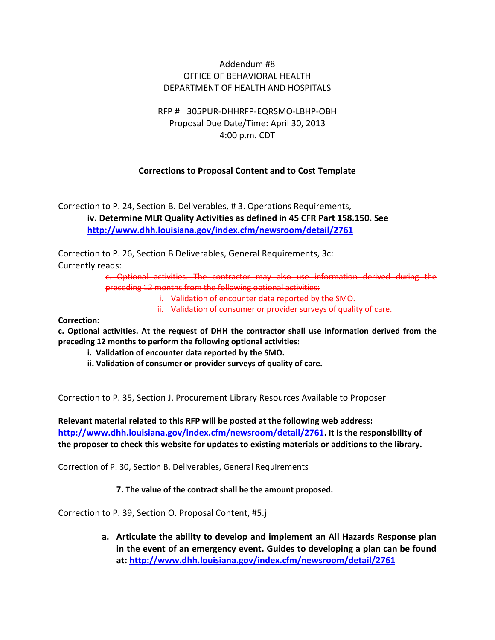## Addendum #8 OFFICE OF BEHAVIORAL HEALTH DEPARTMENT OF HEALTH AND HOSPITALS

## RFP # 305PUR-DHHRFP-EQRSMO-LBHP-OBH Proposal Due Date/Time: April 30, 2013 4:00 p.m. CDT

## **Corrections to Proposal Content and to Cost Template**

Correction to P. 24, Section B. Deliverables, # 3. Operations Requirements, **iv. Determine MLR Quality Activities as defined in 45 CFR Part 158.150. See <http://www.dhh.louisiana.gov/index.cfm/newsroom/detail/2761>**

Correction to P. 26, Section B Deliverables, General Requirements, 3c: Currently reads:

> c. Optional activities. The contractor may also use information derived during the preceding 12 months from the following optional activities:

- i. Validation of encounter data reported by the SMO.
- ii. Validation of consumer or provider surveys of quality of care.

**Correction:** 

**c. Optional activities. At the request of DHH the contractor shall use information derived from the preceding 12 months to perform the following optional activities:**

- **i. Validation of encounter data reported by the SMO.**
- **ii. Validation of consumer or provider surveys of quality of care.**

Correction to P. 35, Section J. Procurement Library Resources Available to Proposer

**Relevant material related to this RFP will be posted at the following web address: [http://www.dhh.louisiana.gov/index.cfm/newsroom/detail/2761.](http://www.dhh.louisiana.gov/index.cfm/newsroom/detail/2761) It is the responsibility of the proposer to check this website for updates to existing materials or additions to the library.** 

Correction of P. 30, Section B. Deliverables, General Requirements

#### **7. The value of the contract shall be the amount proposed.**

Correction to P. 39, Section O. Proposal Content, #5.j

**a. Articulate the ability to develop and implement an All Hazards Response plan in the event of an emergency event. Guides to developing a plan can be found at:<http://www.dhh.louisiana.gov/index.cfm/newsroom/detail/2761>**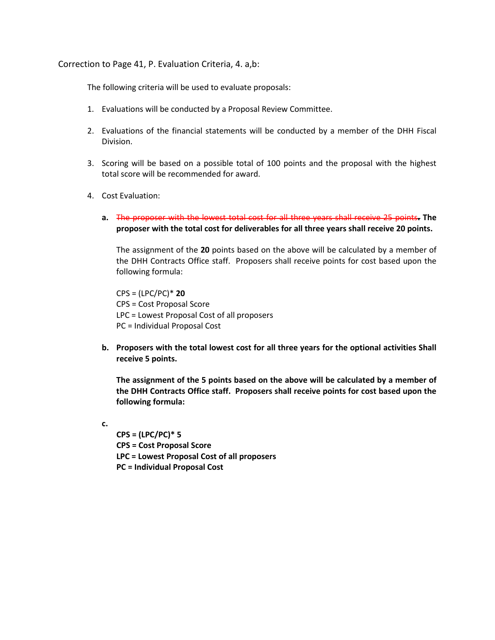Correction to Page 41, P. Evaluation Criteria, 4. a,b:

The following criteria will be used to evaluate proposals:

- 1. Evaluations will be conducted by a Proposal Review Committee.
- 2. Evaluations of the financial statements will be conducted by a member of the DHH Fiscal Division.
- 3. Scoring will be based on a possible total of 100 points and the proposal with the highest total score will be recommended for award.
- 4. Cost Evaluation:
	- **a.** The proposer with the lowest total cost for all three years shall receive 25 points**. The proposer with the total cost for deliverables for all three years shall receive 20 points.**

The assignment of the **20** points based on the above will be calculated by a member of the DHH Contracts Office staff. Proposers shall receive points for cost based upon the following formula:

CPS = (LPC/PC)\* **20** CPS = Cost Proposal Score LPC = Lowest Proposal Cost of all proposers PC = Individual Proposal Cost

**b. Proposers with the total lowest cost for all three years for the optional activities Shall receive 5 points.** 

**The assignment of the 5 points based on the above will be calculated by a member of the DHH Contracts Office staff. Proposers shall receive points for cost based upon the following formula:**

**c.**

**CPS = (LPC/PC)\* 5 CPS = Cost Proposal Score LPC = Lowest Proposal Cost of all proposers PC = Individual Proposal Cost**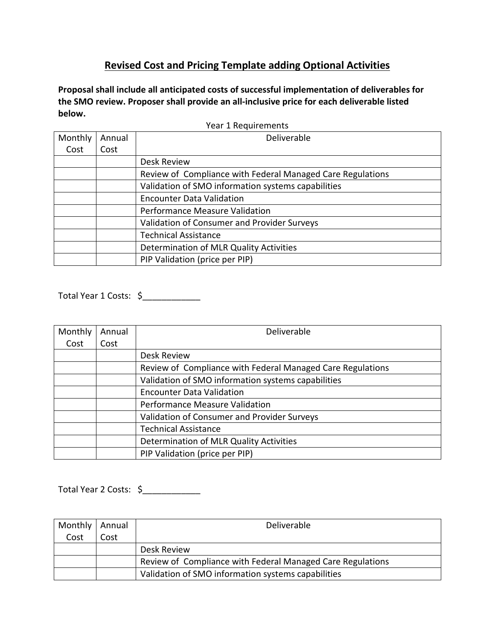# **Revised Cost and Pricing Template adding Optional Activities**

**Proposal shall include all anticipated costs of successful implementation of deliverables for the SMO review. Proposer shall provide an all-inclusive price for each deliverable listed below.**

| Monthly                                                    | Annual                                             | Deliverable                                 |  |  |  |  |  |
|------------------------------------------------------------|----------------------------------------------------|---------------------------------------------|--|--|--|--|--|
| Cost                                                       | Cost                                               |                                             |  |  |  |  |  |
|                                                            |                                                    | Desk Review                                 |  |  |  |  |  |
| Review of Compliance with Federal Managed Care Regulations |                                                    |                                             |  |  |  |  |  |
|                                                            | Validation of SMO information systems capabilities |                                             |  |  |  |  |  |
|                                                            |                                                    | <b>Encounter Data Validation</b>            |  |  |  |  |  |
|                                                            |                                                    | Performance Measure Validation              |  |  |  |  |  |
|                                                            |                                                    | Validation of Consumer and Provider Surveys |  |  |  |  |  |
|                                                            |                                                    | <b>Technical Assistance</b>                 |  |  |  |  |  |
|                                                            |                                                    | Determination of MLR Quality Activities     |  |  |  |  |  |
|                                                            |                                                    | PIP Validation (price per PIP)              |  |  |  |  |  |

Year 1 Requirements

Total Year 1 Costs: \$\_\_\_\_\_\_\_\_\_\_\_\_

| Monthly | Annual | Deliverable                                                |  |  |  |  |
|---------|--------|------------------------------------------------------------|--|--|--|--|
| Cost    | Cost   |                                                            |  |  |  |  |
|         |        | Desk Review                                                |  |  |  |  |
|         |        | Review of Compliance with Federal Managed Care Regulations |  |  |  |  |
|         |        | Validation of SMO information systems capabilities         |  |  |  |  |
|         |        | <b>Encounter Data Validation</b>                           |  |  |  |  |
|         |        | Performance Measure Validation                             |  |  |  |  |
|         |        | Validation of Consumer and Provider Surveys                |  |  |  |  |
|         |        | <b>Technical Assistance</b>                                |  |  |  |  |
|         |        | Determination of MLR Quality Activities                    |  |  |  |  |
|         |        | PIP Validation (price per PIP)                             |  |  |  |  |

Total Year 2 Costs: \$\_\_\_\_\_\_\_\_\_\_\_\_

| Monthly   Annual |      | Deliverable                                                |  |  |
|------------------|------|------------------------------------------------------------|--|--|
| Cost             | Cost |                                                            |  |  |
|                  |      | Desk Review                                                |  |  |
|                  |      | Review of Compliance with Federal Managed Care Regulations |  |  |
|                  |      | Validation of SMO information systems capabilities         |  |  |